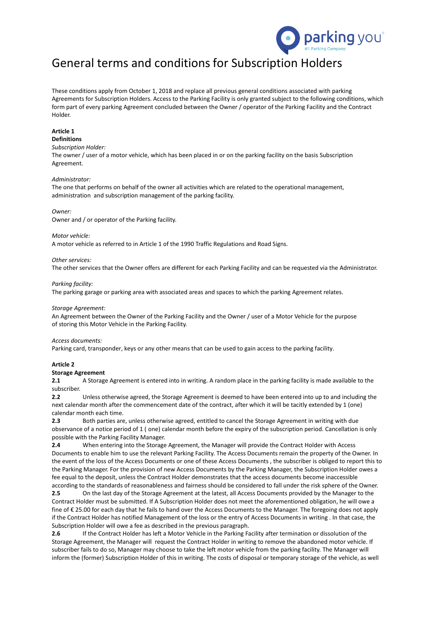

# General terms and conditions for Subscription Holders

These conditions apply from October 1, 2018 and replace all previous general conditions associated with parking Agreements for Subscription Holders. Access to the Parking Facility is only granted subject to the following conditions, which form part of every parking Agreement concluded between the Owner / operator of the Parking Facility and the Contract Holder.

# **Article 1**

# **Definitions**

*Subscription Holder:*

The owner / user of a motor vehicle, which has been placed in or on the parking facility on the basis Subscription Agreement.

#### *Administrator:*

The one that performs on behalf of the owner all activities which are related to the operational management, administration and subscription management of the parking facility.

#### *Owner:*

Owner and / or operator of the Parking facility.

#### *Motor vehicle:*

A motor vehicle as referred to in Article 1 of the 1990 Traffic Regulations and Road Signs.

#### *Other services:*

The other services that the Owner offers are different for each Parking Facility and can be requested via the Administrator.

#### *Parking facility:*

The parking garage or parking area with associated areas and spaces to which the parking Agreement relates.

#### *Storage Agreement:*

An Agreement between the Owner of the Parking Facility and the Owner / user of a Motor Vehicle for the purpose of storing this Motor Vehicle in the Parking Facility.

#### *Access documents:*

Parking card, transponder, keys or any other means that can be used to gain access to the parking facility.

# **Article 2**

#### **Storage Agreement**

**2.1** A Storage Agreement is entered into in writing. A random place in the parking facility is made available to the subscriber.

**2.2** Unless otherwise agreed, the Storage Agreement is deemed to have been entered into up to and including the next calendar month after the commencement date of the contract, after which it will be tacitly extended by 1 (one) calendar month each time.

**2.3** Both parties are, unless otherwise agreed, entitled to cancel the Storage Agreement in writing with due observance of a notice period of 1 ( one) calendar month before the expiry of the subscription period. Cancellation is only possible with the Parking Facility Manager.

**2.4** When entering into the Storage Agreement, the Manager will provide the Contract Holder with Access Documents to enable him to use the relevant Parking Facility. The Access Documents remain the property of the Owner. In the event of the loss of the Access Documents or one of these Access Documents , the subscriber is obliged to report this to the Parking Manager. For the provision of new Access Documents by the Parking Manager, the Subscription Holder owes a fee equal to the deposit, unless the Contract Holder demonstrates that the access documents become inaccessible according to the standards of reasonableness and fairness should be considered to fall under the risk sphere of the Owner.

**2.5** On the last day of the Storage Agreement at the latest, all Access Documents provided by the Manager to the Contract Holder must be submitted. If A Subscription Holder does not meet the aforementioned obligation, he will owe a fine of € 25.00 for each day that he fails to hand over the Access Documents to the Manager. The foregoing does not apply if the Contract Holder has notified Management of the loss or the entry of Access Documents in writing . In that case, the Subscription Holder will owe a fee as described in the previous paragraph.

**2.6** If the Contract Holder has left a Motor Vehicle in the Parking Facility after termination or dissolution of the Storage Agreement, the Manager will request the Contract Holder in writing to remove the abandoned motor vehicle. If subscriber fails to do so, Manager may choose to take the left motor vehicle from the parking facility. The Manager will inform the (former) Subscription Holder of this in writing. The costs of disposal or temporary storage of the vehicle, as well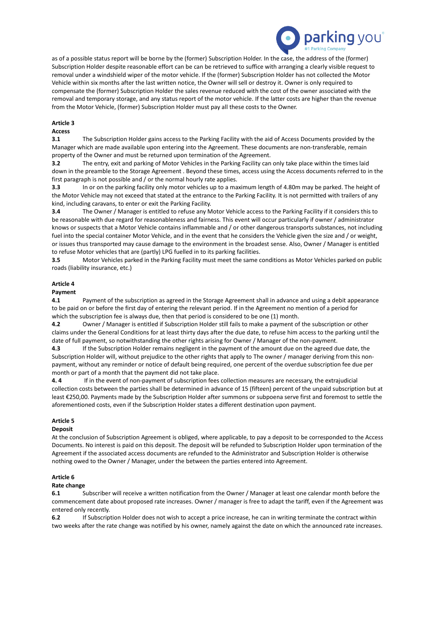

as of a possible status report will be borne by the (former) Subscription Holder. In the case, the address of the (former) Subscription Holder despite reasonable effort can be can be retrieved to suffice with arranging a clearly visible request to removal under a windshield wiper of the motor vehicle. If the (former) Subscription Holder has not collected the Motor Vehicle within six months after the last written notice, the Owner will sell or destroy it. Owner is only required to compensate the (former) Subscription Holder the sales revenue reduced with the cost of the owner associated with the removal and temporary storage, and any status report of the motor vehicle. If the latter costs are higher than the revenue from the Motor Vehicle, (former) Subscription Holder must pay all these costs to the Owner.

# **Article 3**

# **Access**

**3.1** The Subscription Holder gains access to the Parking Facility with the aid of Access Documents provided by the Manager which are made available upon entering into the Agreement. These documents are non-transferable, remain property of the Owner and must be returned upon termination of the Agreement.

**3.2** The entry, exit and parking of Motor Vehicles in the Parking Facility can only take place within the times laid down in the preamble to the Storage Agreement . Beyond these times, access using the Access documents referred to in the first paragraph is not possible and / or the normal hourly rate applies.

**3.3** In or on the parking facility only motor vehicles up to a maximum length of 4.80m may be parked. The height of the Motor Vehicle may not exceed that stated at the entrance to the Parking Facility. It is not permitted with trailers of any kind, including caravans, to enter or exit the Parking Facility.

**3.4** The Owner / Manager is entitled to refuse any Motor Vehicle access to the Parking Facility if it considers this to be reasonable with due regard for reasonableness and fairness. This event will occur particularly if owner / administrator knows or suspects that a Motor Vehicle contains inflammable and / or other dangerous transports substances, not including fuel into the special container Motor Vehicle, and in the event that he considers the Vehicle given the size and / or weight, or issues thus transported may cause damage to the environment in the broadest sense. Also, Owner / Manager is entitled to refuse Motor vehicles that are (partly) LPG fuelled in to its parking facilities.

**3.5** Motor Vehicles parked in the Parking Facility must meet the same conditions as Motor Vehicles parked on public roads (liability insurance, etc.)

# **Article 4**

#### **Payment**

**4.1** Payment of the subscription as agreed in the Storage Agreement shall in advance and using a debit appearance to be paid on or before the first day of entering the relevant period. If in the Agreement no mention of a period for which the subscription fee is always due, then that period is considered to be one (1) month.

**4.2** Owner / Manager is entitled if Subscription Holder still fails to make a payment of the subscription or other claims under the General Conditions for at least thirty days after the due date, to refuse him access to the parking until the date of full payment, so notwithstanding the other rights arising for Owner / Manager of the non-payment.

**4.3** If the Subscription Holder remains negligent in the payment of the amount due on the agreed due date, the Subscription Holder will, without prejudice to the other rights that apply to The owner / manager deriving from this nonpayment, without any reminder or notice of default being required, one percent of the overdue subscription fee due per month or part of a month that the payment did not take place.

**4. 4** If in the event of non-payment of subscription fees collection measures are necessary, the extrajudicial collection costs between the parties shall be determined in advance of 15 (fifteen) percent of the unpaid subscription but at least €250,00. Payments made by the Subscription Holder after summons or subpoena serve first and foremost to settle the aforementioned costs, even if the Subscription Holder states a different destination upon payment.

# **Article 5**

# **Deposit**

At the conclusion of Subscription Agreement is obliged, where applicable, to pay a deposit to be corresponded to the Access Documents. No interest is paid on this deposit. The deposit will be refunded to Subscription Holder upon termination of the Agreement if the associated access documents are refunded to the Administrator and Subscription Holder is otherwise nothing owed to the Owner / Manager, under the between the parties entered into Agreement.

# **Article 6**

# **Rate change**

**6.1** Subscriber will receive a written notification from the Owner / Manager at least one calendar month before the commencement date about proposed rate increases. Owner / manager is free to adapt the tariff, even if the Agreement was entered only recently.

**6.2** If Subscription Holder does not wish to accept a price increase, he can in writing terminate the contract within two weeks after the rate change was notified by his owner, namely against the date on which the announced rate increases.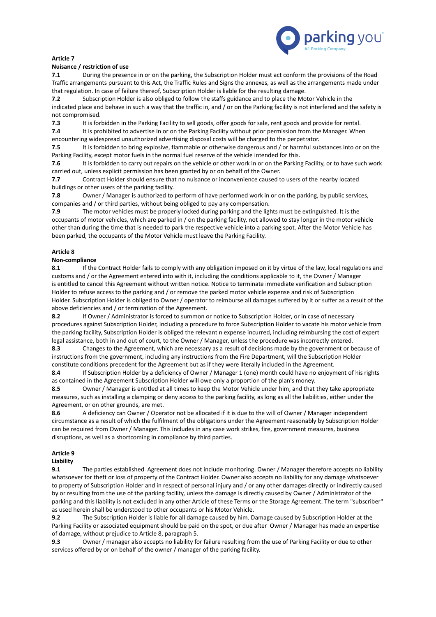

# **Article 7**

# **Nuisance / restriction of use**

**7.1** During the presence in or on the parking, the Subscription Holder must act conform the provisions of the Road Traffic arrangements pursuant to this Act, the Traffic Rules and Signs the annexes, as well as the arrangements made under that regulation. In case of failure thereof, Subscription Holder is liable for the resulting damage.

**7.2** Subscription Holder is also obliged to follow the staffs guidance and to place the Motor Vehicle in the indicated place and behave in such a way that the traffic in, and / or on the Parking facility is not interfered and the safety is not compromised.

**7.3** It is forbidden in the Parking Facility to sell goods, offer goods for sale, rent goods and provide for rental.

**7.4** It is prohibited to advertise in or on the Parking Facility without prior permission from the Manager. When encountering widespread unauthorized advertising disposal costs will be charged to the perpetrator.

**7.5** It is forbidden to bring explosive, flammable or otherwise dangerous and / or harmful substances into or on the Parking Facility, except motor fuels in the normal fuel reserve of the vehicle intended for this.

**7.6** It is forbidden to carry out repairs on the vehicle or other work in or on the Parking Facility, or to have such work carried out, unless explicit permission has been granted by or on behalf of the Owner.

**7.7** Contract Holder should ensure that no nuisance or inconvenience caused to users of the nearby located buildings or other users of the parking facility.

**7.8** Owner / Manager is authorized to perform of have performed work in or on the parking, by public services, companies and / or third parties, without being obliged to pay any compensation.

**7.9** The motor vehicles must be properly locked during parking and the lights must be extinguished. It is the occupants of motor vehicles, which are parked in / on the parking facility, not allowed to stay longer in the motor vehicle other than during the time that is needed to park the respective vehicle into a parking spot. After the Motor Vehicle has been parked, the occupants of the Motor Vehicle must leave the Parking Facility.

# **Article 8**

#### **Non-compliance**

**8.1** If the Contract Holder fails to comply with any obligation imposed on it by virtue of the law, local regulations and customs and / or the Agreement entered into with it, including the conditions applicable to it, the Owner / Manager is entitled to cancel this Agreement without written notice. Notice to terminate immediate verification and Subscription Holder to refuse access to the parking and / or remove the parked motor vehicle expense and risk of Subscription Holder. Subscription Holder is obliged to Owner / operator to reimburse all damages suffered by it or suffer as a result of the above deficiencies and / or termination of the Agreement.

**8.2** If Owner / Administrator is forced to summon or notice to Subscription Holder, or in case of necessary procedures against Subscription Holder, including a procedure to force Subscription Holder to vacate his motor vehicle from the parking facility, Subscription Holder is obliged the relevant n expense incurred, including reimbursing the cost of expert legal assistance, both in and out of court, to the Owner / Manager, unless the procedure was incorrectly entered.

**8.3** Changes to the Agreement, which are necessary as a result of decisions made by the government or because of instructions from the government, including any instructions from the Fire Department, will the Subscription Holder constitute conditions precedent for the Agreement but as if they were literally included in the Agreement.

**8.4** If Subscription Holder by a deficiency of Owner / Manager 1 (one) month could have no enjoyment of his rights as contained in the Agreement Subscription Holder will owe only a proportion of the plan's money.

**8.5** Owner / Manager is entitled at all times to keep the Motor Vehicle under him, and that they take appropriate measures, such as installing a clamping or deny access to the parking facility, as long as all the liabilities, either under the Agreement, or on other grounds, are met.

**8.6** A deficiency can Owner / Operator not be allocated if it is due to the will of Owner / Manager independent circumstance as a result of which the fulfilment of the obligations under the Agreement reasonably by Subscription Holder can be required from Owner / Manager. This includes in any case work strikes, fire, government measures, business disruptions, as well as a shortcoming in compliance by third parties.

# **Article 9**

#### **Liability**

**9.1** The parties established Agreement does not include monitoring. Owner / Manager therefore accepts no liability whatsoever for theft or loss of property of the Contract Holder. Owner also accepts no liability for any damage whatsoever to property of Subscription Holder and in respect of personal injury and / or any other damages directly or indirectly caused by or resulting from the use of the parking facility, unless the damage is directly caused by Owner / Administrator of the parking and this liability is not excluded in any other Article of these Terms or the Storage Agreement. The term "subscriber" as used herein shall be understood to other occupants or his Motor Vehicle.

**9.2** The Subscription Holder is liable for all damage caused by him. Damage caused by Subscription Holder at the Parking Facility or associated equipment should be paid on the spot, or due after Owner / Manager has made an expertise of damage, without prejudice to Article 8, paragraph 5.

**9.3** Owner / manager also accepts no liability for failure resulting from the use of Parking Facility or due to other services offered by or on behalf of the owner / manager of the parking facility.